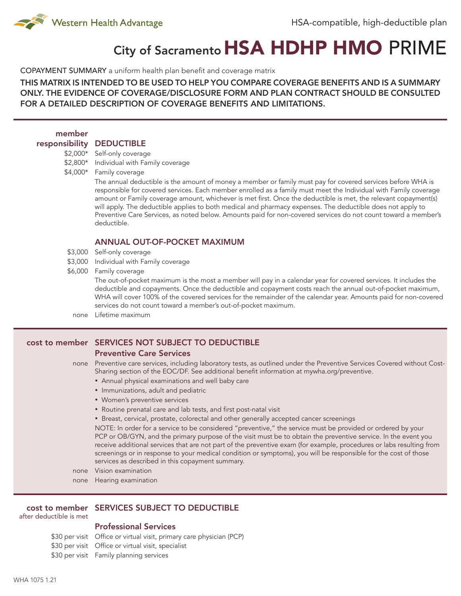

# City of Sacramento HSA HDHP HMO PRIME

COPAYMENT SUMMARY a uniform health plan benefit and coverage matrix

THIS MATRIX IS INTENDED TO BE USED TO HELP YOU COMPARE COVERAGE BENEFITS AND IS A SUMMARY ONLY. THE EVIDENCE OF COVERAGE/DISCLOSURE FORM AND PLAN CONTRACT SHOULD BE CONSULTED FOR A DETAILED DESCRIPTION OF COVERAGE BENEFITS AND LIMITATIONS.

| member         |                                                                                                                                                                                                                                                                                                                                                                                                                                                                                                                                                                                                   |
|----------------|---------------------------------------------------------------------------------------------------------------------------------------------------------------------------------------------------------------------------------------------------------------------------------------------------------------------------------------------------------------------------------------------------------------------------------------------------------------------------------------------------------------------------------------------------------------------------------------------------|
| responsibility | <b>DEDUCTIBLE</b>                                                                                                                                                                                                                                                                                                                                                                                                                                                                                                                                                                                 |
| \$2,000*       | Self-only coverage                                                                                                                                                                                                                                                                                                                                                                                                                                                                                                                                                                                |
| $$2,800*$      | Individual with Family coverage                                                                                                                                                                                                                                                                                                                                                                                                                                                                                                                                                                   |
| $$4,000*$      | Family coverage                                                                                                                                                                                                                                                                                                                                                                                                                                                                                                                                                                                   |
|                | The annual deductible is the amount of money a member or family must pay for covered services before WHA is<br>responsible for covered services. Each member enrolled as a family must meet the Individual with Family coverage<br>amount or Family coverage amount, whichever is met first. Once the deductible is met, the relevant copayment(s)<br>will apply. The deductible applies to both medical and pharmacy expenses. The deductible does not apply to<br>Preventive Care Services, as noted below. Amounts paid for non-covered services do not count toward a member's<br>deductible. |
|                | <b>ANNUAL OUT-OF-POCKET MAXIMUM</b>                                                                                                                                                                                                                                                                                                                                                                                                                                                                                                                                                               |
| \$3,000        | Self-only coverage                                                                                                                                                                                                                                                                                                                                                                                                                                                                                                                                                                                |
| \$3,000        | Individual with Family coverage                                                                                                                                                                                                                                                                                                                                                                                                                                                                                                                                                                   |
| \$6,000        | Family coverage                                                                                                                                                                                                                                                                                                                                                                                                                                                                                                                                                                                   |
|                | The out-of-pocket maximum is the most a member will pay in a calendar year for covered services. It includes the<br>deductible and copayments. Once the deductible and copayment costs reach the annual out-of-pocket maximum,<br>WHA will cover 100% of the covered services for the remainder of the calendar year. Amounts paid for non-covered<br>services do not count toward a member's out-of-pocket maximum.                                                                                                                                                                              |
| none           | Lifetime maximum                                                                                                                                                                                                                                                                                                                                                                                                                                                                                                                                                                                  |
|                |                                                                                                                                                                                                                                                                                                                                                                                                                                                                                                                                                                                                   |

## cost to member SERVICES NOT SUBJECT TO DEDUCTIBLE

#### Preventive Care Services

- none Preventive care services, including laboratory tests, as outlined under the Preventive Services Covered without Cost-Sharing section of the EOC/DF. See additional benefit information at mywha.org/preventive.
	- • Annual physical examinations and well baby care
	- Immunizations, adult and pediatric
	- • Women's preventive services
	- Routine prenatal care and lab tests, and first post-natal visit
	- Breast, cervical, prostate, colorectal and other generally accepted cancer screenings

NOTE: In order for a service to be considered "preventive," the service must be provided or ordered by your PCP or OB/GYN, and the primary purpose of the visit must be to obtain the preventive service. In the event you receive additional services that are not part of the preventive exam (for example, procedures or labs resulting from screenings or in response to your medical condition or symptoms), you will be responsible for the cost of those services as described in this copayment summary.

- none Vision examination
- none Hearing examination

## cost to member SERVICES SUBJECT TO DEDUCTIBLE

after deductible is met

# Professional Services

\$30 per visit Office or virtual visit, primary care physician (PCP)

\$30 per visit Office or virtual visit, specialist

\$30 per visit Family planning services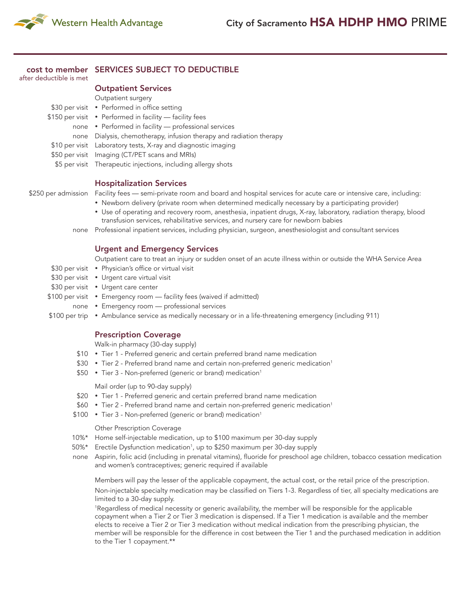

## cost to member SERVICES SUBJECT TO DEDUCTIBLE

after deductible is met

## Outpatient Services

| Outpatient surgery                                                  |
|---------------------------------------------------------------------|
| \$30 per visit • Performed in office setting                        |
| \$150 per visit • Performed in facility - facility fees             |
| none • Performed in facility — professional services                |
| none Dialysis, chemotherapy, infusion therapy and radiation therapy |
| \$10 per visit Laboratory tests, X-ray and diagnostic imaging       |
| \$50 per visit Imaging (CT/PET scans and MRIs)                      |
| \$5 per visit Therapeutic injections, including allergy shots       |
|                                                                     |

### Hospitalization Services

- \$250 per admission Facility fees semi-private room and board and hospital services for acute care or intensive care, including:
	- Newborn delivery (private room when determined medically necessary by a participating provider)
	- Use of operating and recovery room, anesthesia, inpatient drugs, X-ray, laboratory, radiation therapy, blood transfusion services, rehabilitative services, and nursery care for newborn babies
	- none Professional inpatient services, including physician, surgeon, anesthesiologist and consultant services

#### Urgent and Emergency Services

Outpatient care to treat an injury or sudden onset of an acute illness within or outside the WHA Service Area

- \$30 per visit Physician's office or virtual visit
- \$30 per visit Urgent care virtual visit
- \$30 per visit Urgent care center
- \$100 per visit Emergency room facility fees (waived if admitted)
	- none Emergency room professional services
- \$100 per trip Ambulance service as medically necessary or in a life-threatening emergency (including 911)

#### Prescription Coverage

Walk-in pharmacy (30-day supply)

- \$10 Tier 1 Preferred generic and certain preferred brand name medication
- \$30 Tier 2 Preferred brand name and certain non-preferred generic medication<sup>1</sup>
- \$50 Tier 3 Non-preferred (generic or brand) medication<sup>1</sup>

Mail order (up to 90-day supply)

- \$20 Tier 1 Preferred generic and certain preferred brand name medication
- \$60 Tier 2 Preferred brand name and certain non-preferred generic medication<sup>1</sup>
- \$100 Tier 3 Non-preferred (generic or brand) medication<sup>1</sup>

#### Other Prescription Coverage

- 10%\* Home self-injectable medication, up to \$100 maximum per 30-day supply
- 50%\* Erectile Dysfunction medication<sup>1</sup> , up to \$250 maximum per 30-day supply
- none Aspirin, folic acid (including in prenatal vitamins), fluoride for preschool age children, tobacco cessation medication and women's contraceptives; generic required if available

Members will pay the lesser of the applicable copayment, the actual cost, or the retail price of the prescription. Non-injectable specialty medication may be classified on Tiers 1-3. Regardless of tier, all specialty medications are limited to a 30-day supply.

1 Regardless of medical necessity or generic availability, the member will be responsible for the applicable copayment when a Tier 2 or Tier 3 medication is dispensed. If a Tier 1 medication is available and the member elects to receive a Tier 2 or Tier 3 medication without medical indication from the prescribing physician, the member will be responsible for the difference in cost between the Tier 1 and the purchased medication in addition to the Tier 1 copayment.\*\*